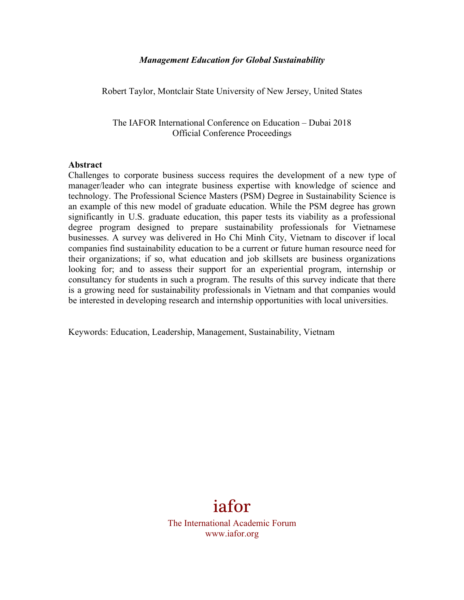#### *Management Education for Global Sustainability*

Robert Taylor, Montclair State University of New Jersey, United States

The IAFOR International Conference on Education – Dubai 2018 Official Conference Proceedings

#### **Abstract**

Challenges to corporate business success requires the development of a new type of manager/leader who can integrate business expertise with knowledge of science and technology. The Professional Science Masters (PSM) Degree in Sustainability Science is an example of this new model of graduate education. While the PSM degree has grown significantly in U.S. graduate education, this paper tests its viability as a professional degree program designed to prepare sustainability professionals for Vietnamese businesses. A survey was delivered in Ho Chi Minh City, Vietnam to discover if local companies find sustainability education to be a current or future human resource need for their organizations; if so, what education and job skillsets are business organizations looking for; and to assess their support for an experiential program, internship or consultancy for students in such a program. The results of this survey indicate that there is a growing need for sustainability professionals in Vietnam and that companies would be interested in developing research and internship opportunities with local universities.

Keywords: Education, Leadership, Management, Sustainability, Vietnam

# iafor

The International Academic Forum www.iafor.org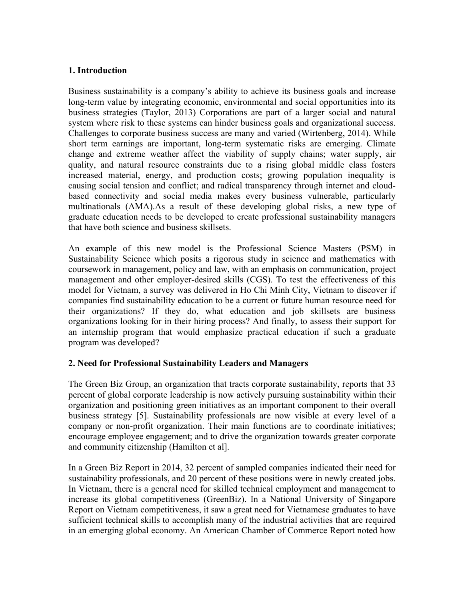## **1. Introduction**

Business sustainability is a company's ability to achieve its business goals and increase long-term value by integrating economic, environmental and social opportunities into its business strategies (Taylor, 2013) Corporations are part of a larger social and natural system where risk to these systems can hinder business goals and organizational success. Challenges to corporate business success are many and varied (Wirtenberg, 2014). While short term earnings are important, long-term systematic risks are emerging. Climate change and extreme weather affect the viability of supply chains; water supply, air quality, and natural resource constraints due to a rising global middle class fosters increased material, energy, and production costs; growing population inequality is causing social tension and conflict; and radical transparency through internet and cloudbased connectivity and social media makes every business vulnerable, particularly multinationals (AMA).As a result of these developing global risks, a new type of graduate education needs to be developed to create professional sustainability managers that have both science and business skillsets.

An example of this new model is the Professional Science Masters (PSM) in Sustainability Science which posits a rigorous study in science and mathematics with coursework in management, policy and law, with an emphasis on communication, project management and other employer-desired skills (CGS). To test the effectiveness of this model for Vietnam, a survey was delivered in Ho Chi Minh City, Vietnam to discover if companies find sustainability education to be a current or future human resource need for their organizations? If they do, what education and job skillsets are business organizations looking for in their hiring process? And finally, to assess their support for an internship program that would emphasize practical education if such a graduate program was developed?

# **2. Need for Professional Sustainability Leaders and Managers**

The Green Biz Group, an organization that tracts corporate sustainability, reports that 33 percent of global corporate leadership is now actively pursuing sustainability within their organization and positioning green initiatives as an important component to their overall business strategy [5]. Sustainability professionals are now visible at every level of a company or non-profit organization. Their main functions are to coordinate initiatives; encourage employee engagement; and to drive the organization towards greater corporate and community citizenship (Hamilton et al].

In a Green Biz Report in 2014, 32 percent of sampled companies indicated their need for sustainability professionals, and 20 percent of these positions were in newly created jobs. In Vietnam, there is a general need for skilled technical employment and management to increase its global competitiveness (GreenBiz). In a National University of Singapore Report on Vietnam competitiveness, it saw a great need for Vietnamese graduates to have sufficient technical skills to accomplish many of the industrial activities that are required in an emerging global economy. An American Chamber of Commerce Report noted how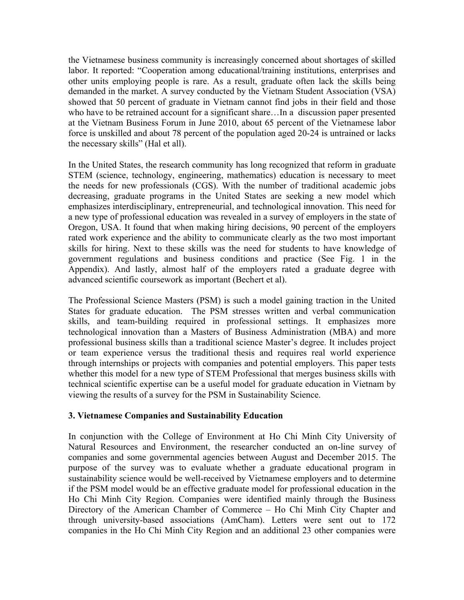the Vietnamese business community is increasingly concerned about shortages of skilled labor. It reported: "Cooperation among educational/training institutions, enterprises and other units employing people is rare. As a result, graduate often lack the skills being demanded in the market. A survey conducted by the Vietnam Student Association (VSA) showed that 50 percent of graduate in Vietnam cannot find jobs in their field and those who have to be retrained account for a significant share...In a discussion paper presented at the Vietnam Business Forum in June 2010, about 65 percent of the Vietnamese labor force is unskilled and about 78 percent of the population aged 20-24 is untrained or lacks the necessary skills" (Hal et all).

In the United States, the research community has long recognized that reform in graduate STEM (science, technology, engineering, mathematics) education is necessary to meet the needs for new professionals (CGS). With the number of traditional academic jobs decreasing, graduate programs in the United States are seeking a new model which emphasizes interdisciplinary, entrepreneurial, and technological innovation. This need for a new type of professional education was revealed in a survey of employers in the state of Oregon, USA. It found that when making hiring decisions, 90 percent of the employers rated work experience and the ability to communicate clearly as the two most important skills for hiring. Next to these skills was the need for students to have knowledge of government regulations and business conditions and practice (See Fig. 1 in the Appendix). And lastly, almost half of the employers rated a graduate degree with advanced scientific coursework as important (Bechert et al).

The Professional Science Masters (PSM) is such a model gaining traction in the United States for graduate education. The PSM stresses written and verbal communication skills, and team-building required in professional settings. It emphasizes more technological innovation than a Masters of Business Administration (MBA) and more professional business skills than a traditional science Master's degree. It includes project or team experience versus the traditional thesis and requires real world experience through internships or projects with companies and potential employers. This paper tests whether this model for a new type of STEM Professional that merges business skills with technical scientific expertise can be a useful model for graduate education in Vietnam by viewing the results of a survey for the PSM in Sustainability Science.

#### **3. Vietnamese Companies and Sustainability Education**

In conjunction with the College of Environment at Ho Chi Minh City University of Natural Resources and Environment, the researcher conducted an on-line survey of companies and some governmental agencies between August and December 2015. The purpose of the survey was to evaluate whether a graduate educational program in sustainability science would be well-received by Vietnamese employers and to determine if the PSM model would be an effective graduate model for professional education in the Ho Chi Minh City Region. Companies were identified mainly through the Business Directory of the American Chamber of Commerce – Ho Chi Minh City Chapter and through university-based associations (AmCham). Letters were sent out to 172 companies in the Ho Chi Minh City Region and an additional 23 other companies were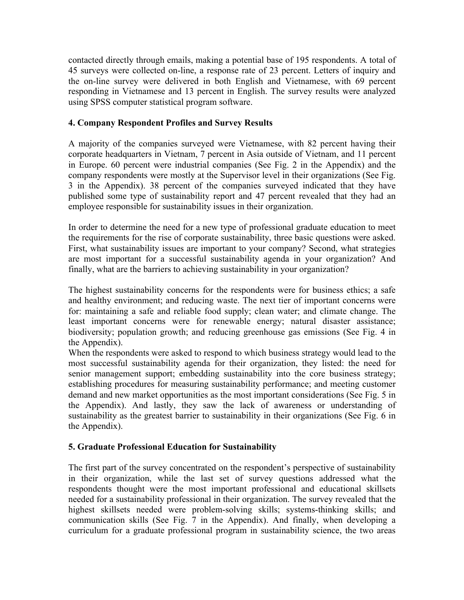contacted directly through emails, making a potential base of 195 respondents. A total of 45 surveys were collected on-line, a response rate of 23 percent. Letters of inquiry and the on-line survey were delivered in both English and Vietnamese, with 69 percent responding in Vietnamese and 13 percent in English. The survey results were analyzed using SPSS computer statistical program software.

# **4. Company Respondent Profiles and Survey Results**

A majority of the companies surveyed were Vietnamese, with 82 percent having their corporate headquarters in Vietnam, 7 percent in Asia outside of Vietnam, and 11 percent in Europe. 60 percent were industrial companies (See Fig. 2 in the Appendix) and the company respondents were mostly at the Supervisor level in their organizations (See Fig. 3 in the Appendix). 38 percent of the companies surveyed indicated that they have published some type of sustainability report and 47 percent revealed that they had an employee responsible for sustainability issues in their organization.

In order to determine the need for a new type of professional graduate education to meet the requirements for the rise of corporate sustainability, three basic questions were asked. First, what sustainability issues are important to your company? Second, what strategies are most important for a successful sustainability agenda in your organization? And finally, what are the barriers to achieving sustainability in your organization?

The highest sustainability concerns for the respondents were for business ethics; a safe and healthy environment; and reducing waste. The next tier of important concerns were for: maintaining a safe and reliable food supply; clean water; and climate change. The least important concerns were for renewable energy; natural disaster assistance; biodiversity; population growth; and reducing greenhouse gas emissions (See Fig. 4 in the Appendix).

When the respondents were asked to respond to which business strategy would lead to the most successful sustainability agenda for their organization, they listed: the need for senior management support; embedding sustainability into the core business strategy; establishing procedures for measuring sustainability performance; and meeting customer demand and new market opportunities as the most important considerations (See Fig. 5 in the Appendix). And lastly, they saw the lack of awareness or understanding of sustainability as the greatest barrier to sustainability in their organizations (See Fig. 6 in the Appendix).

# **5. Graduate Professional Education for Sustainability**

The first part of the survey concentrated on the respondent's perspective of sustainability in their organization, while the last set of survey questions addressed what the respondents thought were the most important professional and educational skillsets needed for a sustainability professional in their organization. The survey revealed that the highest skillsets needed were problem-solving skills; systems-thinking skills; and communication skills (See Fig. 7 in the Appendix). And finally, when developing a curriculum for a graduate professional program in sustainability science, the two areas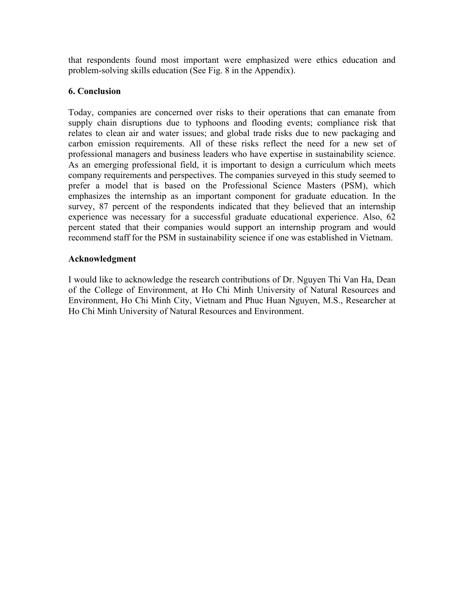that respondents found most important were emphasized were ethics education and problem-solving skills education (See Fig. 8 in the Appendix).

## **6. Conclusion**

Today, companies are concerned over risks to their operations that can emanate from supply chain disruptions due to typhoons and flooding events; compliance risk that relates to clean air and water issues; and global trade risks due to new packaging and carbon emission requirements. All of these risks reflect the need for a new set of professional managers and business leaders who have expertise in sustainability science. As an emerging professional field, it is important to design a curriculum which meets company requirements and perspectives. The companies surveyed in this study seemed to prefer a model that is based on the Professional Science Masters (PSM), which emphasizes the internship as an important component for graduate education. In the survey, 87 percent of the respondents indicated that they believed that an internship experience was necessary for a successful graduate educational experience. Also, 62 percent stated that their companies would support an internship program and would recommend staff for the PSM in sustainability science if one was established in Vietnam.

## **Acknowledgment**

I would like to acknowledge the research contributions of Dr. Nguyen Thi Van Ha, Dean of the College of Environment, at Ho Chi Minh University of Natural Resources and Environment, Ho Chi Minh City, Vietnam and Phuc Huan Nguyen, M.S., Researcher at Ho Chi Minh University of Natural Resources and Environment.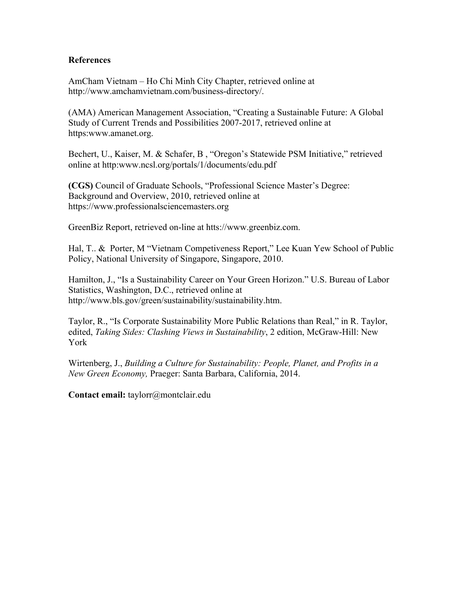#### **References**

AmCham Vietnam – Ho Chi Minh City Chapter, retrieved online at http://www.amchamvietnam.com/business-directory/.

(AMA) American Management Association, "Creating a Sustainable Future: A Global Study of Current Trends and Possibilities 2007-2017, retrieved online at https:www.amanet.org.

Bechert, U., Kaiser, M. & Schafer, B , "Oregon's Statewide PSM Initiative," retrieved online at http:www.ncsl.org/portals/1/documents/edu.pdf

**(CGS)** Council of Graduate Schools, "Professional Science Master's Degree: Background and Overview, 2010, retrieved online at https://www.professionalsciencemasters.org

GreenBiz Report, retrieved on-line at htts://www.greenbiz.com.

Hal, T.. & Porter, M "Vietnam Competiveness Report," Lee Kuan Yew School of Public Policy, National University of Singapore, Singapore, 2010.

Hamilton, J., "Is a Sustainability Career on Your Green Horizon." U.S. Bureau of Labor Statistics, Washington, D.C., retrieved online at http://www.bls.gov/green/sustainability/sustainability.htm.

Taylor, R., "Is Corporate Sustainability More Public Relations than Real," in R. Taylor, edited, *Taking Sides: Clashing Views in Sustainability*, 2 edition, McGraw-Hill: New York

Wirtenberg, J., *Building a Culture for Sustainability: People, Planet, and Profits in a New Green Economy,* Praeger: Santa Barbara, California, 2014.

**Contact email:** taylorr@montclair.edu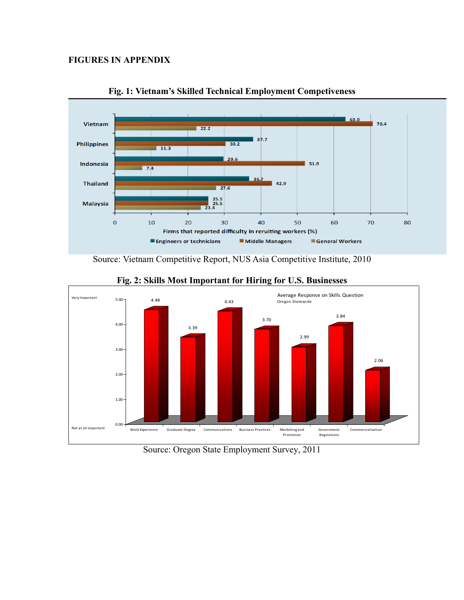# **FIGURES IN APPENDIX**





Source: Vietnam Competitive Report, NUS Asia Competitive Institute, 2010



## **Fig. 2: Skills Most Important for Hiring for U.S. Businesses**

Source: Oregon State Employment Survey, 2011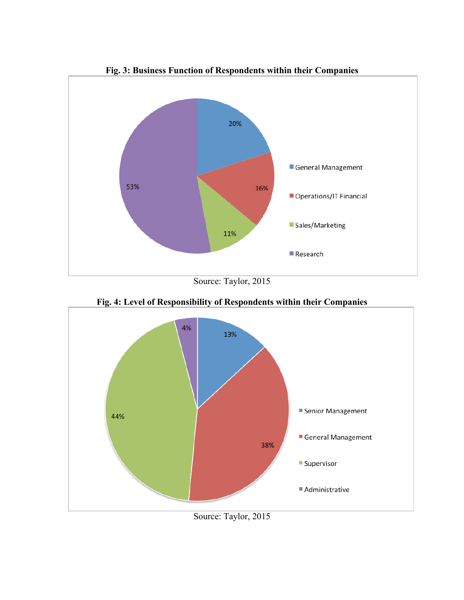

**Fig. 3: Business Function of Respondents within their Companies**

Source: Taylor, 2015



**Fig. 4: Level of Responsibility of Respondents within their Companies**

Source: Taylor, 2015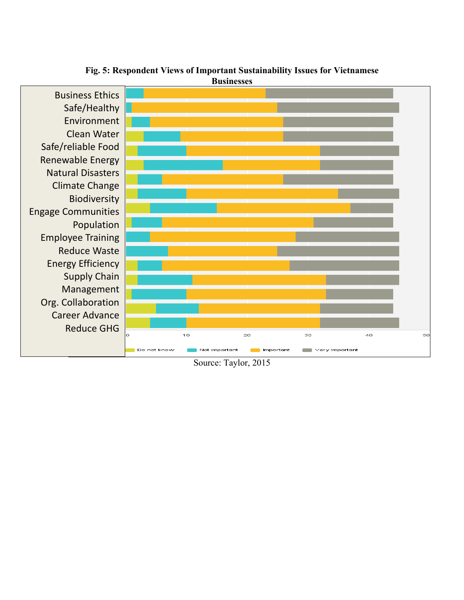

**Fig. 5: Respondent Views of Important Sustainability Issues for Vietnamese Businesses**

Source: Taylor, 2015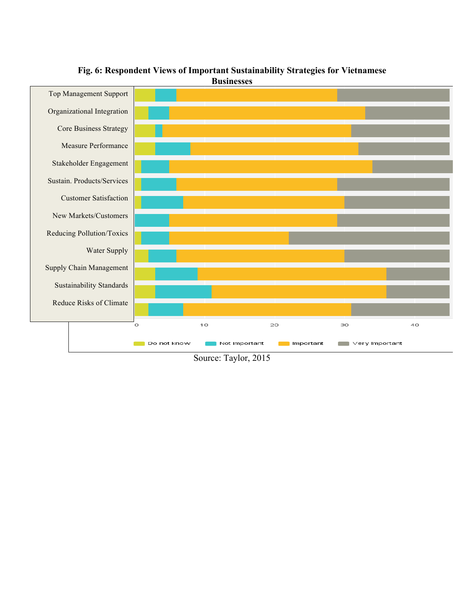

## **Fig. 6: Respondent Views of Important Sustainability Strategies for Vietnamese Businesses**

Source: Taylor, 2015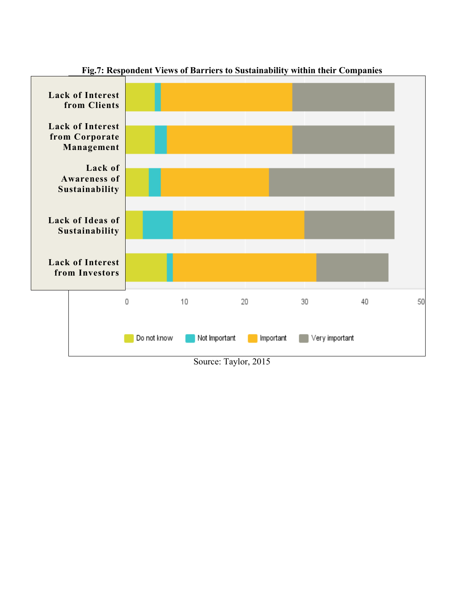

**Fig.7: Respondent Views of Barriers to Sustainability within their Companies**

Source: Taylor, 2015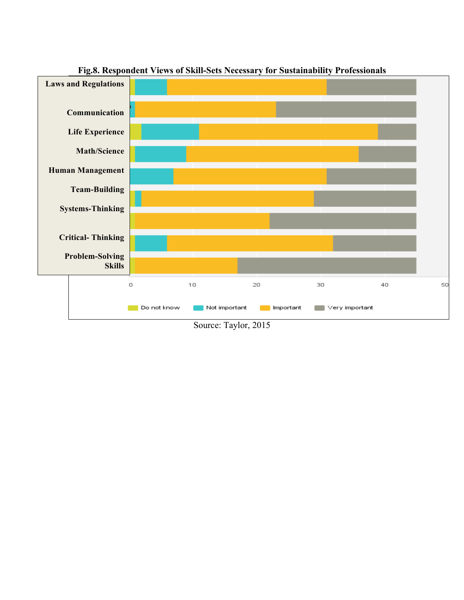

**Fig.8. Respondent Views of Skill-Sets Necessary for Sustainability Professionals**

Source: Taylor, 2015